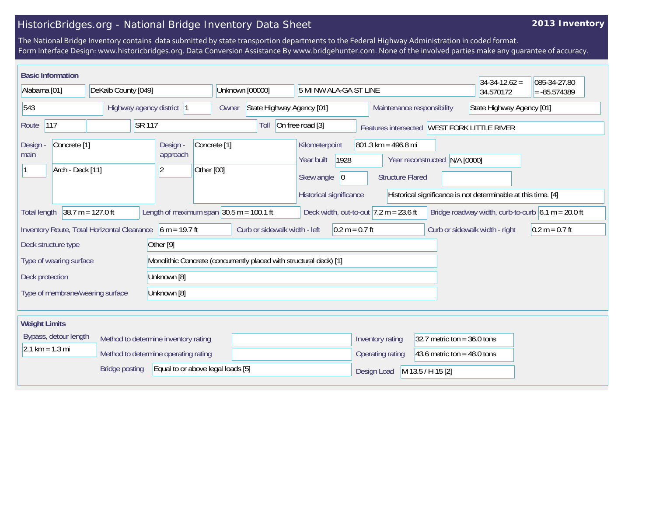## HistoricBridges.org - National Bridge Inventory Data Sheet

## **2013 Inventory**

The National Bridge Inventory contains data submitted by state transportion departments to the Federal Highway Administration in coded format. Form Interface Design: www.historicbridges.org. Data Conversion Assistance By www.bridgehunter.com. None of the involved parties make any guarantee of accuracy.

|                                                                                                                                                                                                                | <b>Basic Information</b> |                     |                                                               |                                                                           |                                                                                                                                                                                                                                                            |                 |                                                   |                            |  |                           | $34-34-12.62 =$ | 085-34-27.80 |
|----------------------------------------------------------------------------------------------------------------------------------------------------------------------------------------------------------------|--------------------------|---------------------|---------------------------------------------------------------|---------------------------------------------------------------------------|------------------------------------------------------------------------------------------------------------------------------------------------------------------------------------------------------------------------------------------------------------|-----------------|---------------------------------------------------|----------------------------|--|---------------------------|-----------------|--------------|
| Alabama [01]                                                                                                                                                                                                   |                          | DeKalb County [049] |                                                               |                                                                           |                                                                                                                                                                                                                                                            | Unknown [00000] | 5 MI NW ALA-GA ST LINE                            |                            |  | 34.570172                 | $= -85.574389$  |              |
| Highway agency district 1<br>543                                                                                                                                                                               |                          |                     |                                                               | Owner                                                                     | State Highway Agency [01]                                                                                                                                                                                                                                  |                 |                                                   | Maintenance responsibility |  | State Highway Agency [01] |                 |              |
| 117<br>SR 117<br>Route                                                                                                                                                                                         |                          |                     |                                                               | On free road [3]<br>Toll<br>Features intersected   WEST FORK LITTLE RIVER |                                                                                                                                                                                                                                                            |                 |                                                   |                            |  |                           |                 |              |
| Concrete <sup>[1]</sup><br><b>Design</b><br>main<br>Arch - Deck [11]<br> 2                                                                                                                                     |                          |                     | Design -<br>Concrete <sup>[1]</sup><br>approach<br>Other [00] |                                                                           | Kilometerpoint<br>$801.3 \text{ km} = 496.8 \text{ mi}$<br>1928<br>Year built<br>Year reconstructed N/A [0000]<br>Skew angle<br> 0 <br><b>Structure Flared</b><br>Historical significance<br>Historical significance is not determinable at this time. [4] |                 |                                                   |                            |  |                           |                 |              |
| $38.7 m = 127.0 ft$<br>Length of maximum span $ 30.5 \text{ m} = 100.1 \text{ ft} $<br>Deck width, out-to-out $7.2$ m = 23.6 ft<br><b>Total length</b><br>Bridge roadway width, curb-to-curb $6.1 m = 20.0 ft$ |                          |                     |                                                               |                                                                           |                                                                                                                                                                                                                                                            |                 |                                                   |                            |  |                           |                 |              |
| Inventory Route, Total Horizontal Clearance 6 m = 19.7 ft<br>Curb or sidewalk width - left<br>$0.2 m = 0.7 ft$<br>Curb or sidewalk width - right<br>$0.2 m = 0.7 ft$                                           |                          |                     |                                                               |                                                                           |                                                                                                                                                                                                                                                            |                 |                                                   |                            |  |                           |                 |              |
| Other [9]<br>Deck structure type                                                                                                                                                                               |                          |                     |                                                               |                                                                           |                                                                                                                                                                                                                                                            |                 |                                                   |                            |  |                           |                 |              |
| Monolithic Concrete (concurrently placed with structural deck) [1]<br>Type of wearing surface                                                                                                                  |                          |                     |                                                               |                                                                           |                                                                                                                                                                                                                                                            |                 |                                                   |                            |  |                           |                 |              |
| Unknown [8]<br>Deck protection                                                                                                                                                                                 |                          |                     |                                                               |                                                                           |                                                                                                                                                                                                                                                            |                 |                                                   |                            |  |                           |                 |              |
| Unknown [8]<br>Type of membrane/wearing surface                                                                                                                                                                |                          |                     |                                                               |                                                                           |                                                                                                                                                                                                                                                            |                 |                                                   |                            |  |                           |                 |              |
| <b>Weight Limits</b>                                                                                                                                                                                           |                          |                     |                                                               |                                                                           |                                                                                                                                                                                                                                                            |                 |                                                   |                            |  |                           |                 |              |
| Bypass, detour length<br>Method to determine inventory rating<br>$2.1 \text{ km} = 1.3 \text{ mi}$<br>Method to determine operating rating                                                                     |                          |                     |                                                               |                                                                           |                                                                                                                                                                                                                                                            |                 | Inventory rating<br>32.7 metric ton = $36.0$ tons |                            |  |                           |                 |              |
|                                                                                                                                                                                                                |                          |                     |                                                               |                                                                           |                                                                                                                                                                                                                                                            |                 | Operating rating<br>43.6 metric ton = $48.0$ tons |                            |  |                           |                 |              |
| Equal to or above legal loads [5]<br><b>Bridge posting</b>                                                                                                                                                     |                          |                     |                                                               |                                                                           |                                                                                                                                                                                                                                                            |                 | M 13.5 / H 15 [2]<br>Design Load                  |                            |  |                           |                 |              |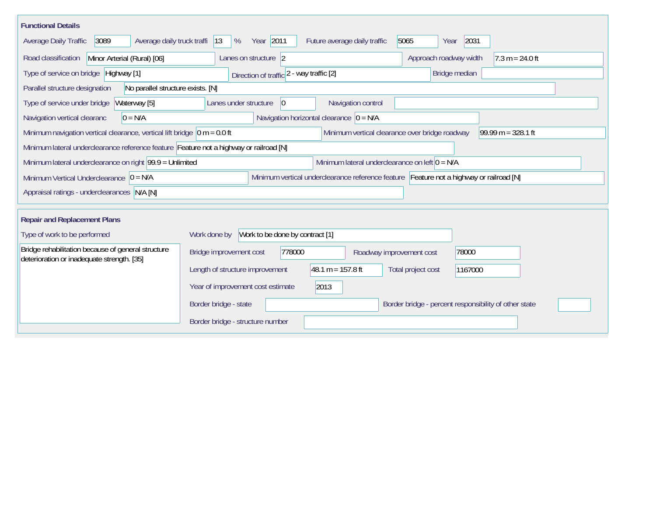| <b>Functional Details</b>                                                                        |                                                                                         |  |
|--------------------------------------------------------------------------------------------------|-----------------------------------------------------------------------------------------|--|
| 3089<br>Average daily truck traffi<br>Average Daily Traffic                                      | Year 2011<br>5065<br>2031<br>$ 13\rangle$<br>Future average daily traffic<br>%<br>Year  |  |
| Minor Arterial (Rural) [06]<br>Road classification                                               | Approach roadway width<br>$7.3 m = 24.0 ft$<br>Lanes on structure 2                     |  |
| Type of service on bridge Highway [1]                                                            | Bridge median<br>Direction of traffic 2 - way traffic [2]                               |  |
| Parallel structure designation<br>No parallel structure exists. [N]                              |                                                                                         |  |
| Waterway [5]<br>Type of service under bridge                                                     | Navigation control<br>Lanes under structure<br> 0                                       |  |
| $0 = N/A$<br>Navigation vertical clearanc                                                        | Navigation horizontal clearance $ 0 = N/A $                                             |  |
| Minimum navigation vertical clearance, vertical lift bridge $\vert$ 0 m = 0.0 ft                 | Minimum vertical clearance over bridge roadway<br>$99.99 m = 328.1 ft$                  |  |
| Minimum lateral underclearance reference feature Feature not a highway or railroad [N]           |                                                                                         |  |
| Minimum lateral underclearance on right 99.9 = Unlimited                                         | Minimum lateral underclearance on left $0 = N/A$                                        |  |
| Minimum Vertical Underclearance $ 0 = N/A$                                                       | Minimum vertical underclearance reference feature Feature not a highway or railroad [N] |  |
| Appraisal ratings - underclearances N/A [N]                                                      |                                                                                         |  |
|                                                                                                  |                                                                                         |  |
| <b>Repair and Replacement Plans</b>                                                              |                                                                                         |  |
| Type of work to be performed                                                                     | Work to be done by contract [1]<br>Work done by                                         |  |
| Bridge rehabilitation because of general structure<br>deterioration or inadequate strength. [35] | 778000<br>Bridge improvement cost<br>78000<br>Roadway improvement cost                  |  |
|                                                                                                  | 48.1 m = $157.8$ ft<br>Length of structure improvement<br>Total project cost<br>1167000 |  |
|                                                                                                  | 2013<br>Year of improvement cost estimate                                               |  |
|                                                                                                  | Border bridge - state<br>Border bridge - percent responsibility of other state          |  |
|                                                                                                  | Border bridge - structure number                                                        |  |